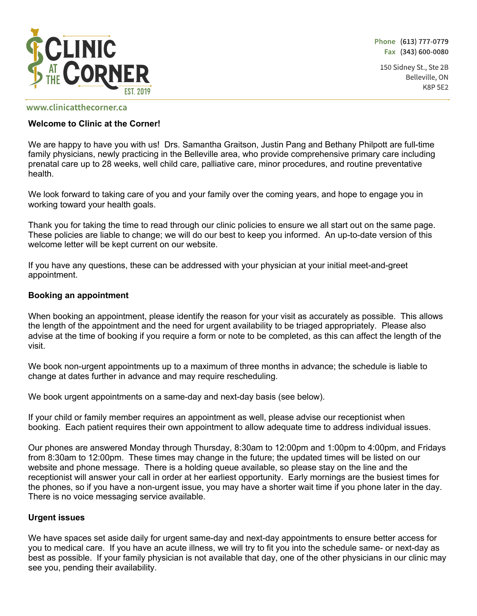

Phone (613) 777-0779 Fax (343) 600-0080

150 Sidney St., Ste 2B Belleville, ON **K8P 5E2** 

#### www.clinicatthecorner.ca

#### **Welcome to Clinic at the Corner!**

We are happy to have you with us! Drs. Samantha Graitson, Justin Pang and Bethany Philpott are full-time family physicians, newly practicing in the Belleville area, who provide comprehensive primary care including prenatal care up to 28 weeks, well child care, palliative care, minor procedures, and routine preventative health.

We look forward to taking care of you and your family over the coming years, and hope to engage you in working toward your health goals.

Thank you for taking the time to read through our clinic policies to ensure we all start out on the same page. These policies are liable to change; we will do our best to keep you informed. An up-to-date version of this welcome letter will be kept current on our website.

If you have any questions, these can be addressed with your physician at your initial meet-and-greet appointment.

#### **Booking an appointment**

When booking an appointment, please identify the reason for your visit as accurately as possible. This allows the length of the appointment and the need for urgent availability to be triaged appropriately. Please also advise at the time of booking if you require a form or note to be completed, as this can affect the length of the visit.

We book non-urgent appointments up to a maximum of three months in advance; the schedule is liable to change at dates further in advance and may require rescheduling.

We book urgent appointments on a same-day and next-day basis (see below).

If your child or family member requires an appointment as well, please advise our receptionist when booking. Each patient requires their own appointment to allow adequate time to address individual issues.

Our phones are answered Monday through Thursday, 8:30am to 12:00pm and 1:00pm to 4:00pm, and Fridays from 8:30am to 12:00pm. These times may change in the future; the updated times will be listed on our website and phone message. There is a holding queue available, so please stay on the line and the receptionist will answer your call in order at her earliest opportunity. Early mornings are the busiest times for the phones, so if you have a non-urgent issue, you may have a shorter wait time if you phone later in the day. There is no voice messaging service available.

#### **Urgent issues**

We have spaces set aside daily for urgent same-day and next-day appointments to ensure better access for you to medical care. If you have an acute illness, we will try to fit you into the schedule same- or next-day as best as possible. If your family physician is not available that day, one of the other physicians in our clinic may see you, pending their availability.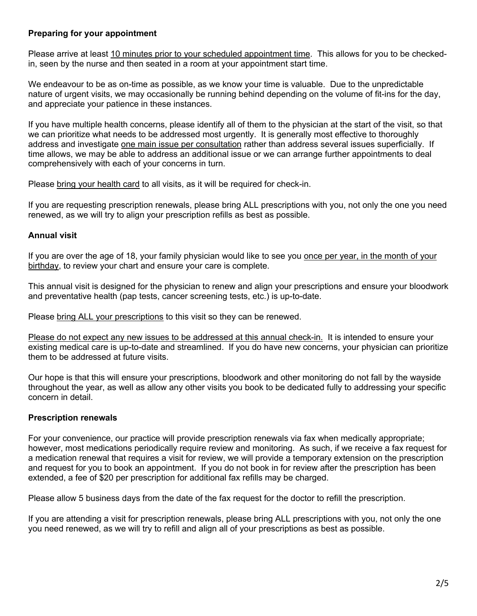# **Preparing for your appointment**

Please arrive at least 10 minutes prior to your scheduled appointment time. This allows for you to be checkedin, seen by the nurse and then seated in a room at your appointment start time.

We endeavour to be as on-time as possible, as we know your time is valuable. Due to the unpredictable nature of urgent visits, we may occasionally be running behind depending on the volume of fit-ins for the day, and appreciate your patience in these instances.

If you have multiple health concerns, please identify all of them to the physician at the start of the visit, so that we can prioritize what needs to be addressed most urgently. It is generally most effective to thoroughly address and investigate one main issue per consultation rather than address several issues superficially. If time allows, we may be able to address an additional issue or we can arrange further appointments to deal comprehensively with each of your concerns in turn.

Please bring your health card to all visits, as it will be required for check-in.

If you are requesting prescription renewals, please bring ALL prescriptions with you, not only the one you need renewed, as we will try to align your prescription refills as best as possible.

# **Annual visit**

If you are over the age of 18, your family physician would like to see you once per year, in the month of your birthday, to review your chart and ensure your care is complete.

This annual visit is designed for the physician to renew and align your prescriptions and ensure your bloodwork and preventative health (pap tests, cancer screening tests, etc.) is up-to-date.

Please bring ALL your prescriptions to this visit so they can be renewed.

Please do not expect any new issues to be addressed at this annual check-in. It is intended to ensure your existing medical care is up-to-date and streamlined. If you do have new concerns, your physician can prioritize them to be addressed at future visits.

Our hope is that this will ensure your prescriptions, bloodwork and other monitoring do not fall by the wayside throughout the year, as well as allow any other visits you book to be dedicated fully to addressing your specific concern in detail.

# **Prescription renewals**

For your convenience, our practice will provide prescription renewals via fax when medically appropriate; however, most medications periodically require review and monitoring. As such, if we receive a fax request for a medication renewal that requires a visit for review, we will provide a temporary extension on the prescription and request for you to book an appointment. If you do not book in for review after the prescription has been extended, a fee of \$20 per prescription for additional fax refills may be charged.

Please allow 5 business days from the date of the fax request for the doctor to refill the prescription.

If you are attending a visit for prescription renewals, please bring ALL prescriptions with you, not only the one you need renewed, as we will try to refill and align all of your prescriptions as best as possible.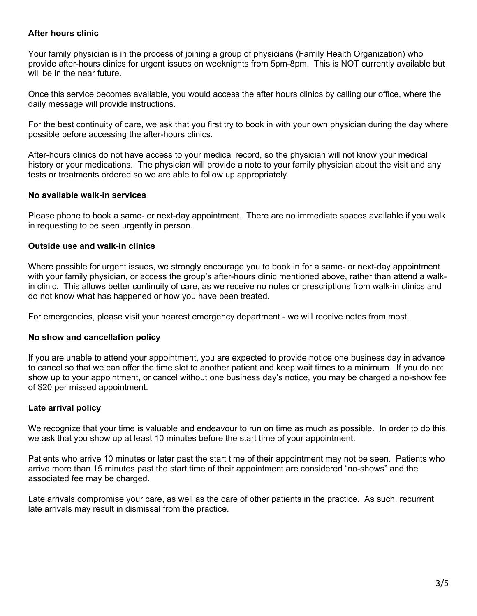# **After hours clinic**

Your family physician is in the process of joining a group of physicians (Family Health Organization) who provide after-hours clinics for urgent issues on weeknights from 5pm-8pm. This is NOT currently available but will be in the near future.

Once this service becomes available, you would access the after hours clinics by calling our office, where the daily message will provide instructions.

For the best continuity of care, we ask that you first try to book in with your own physician during the day where possible before accessing the after-hours clinics.

After-hours clinics do not have access to your medical record, so the physician will not know your medical history or your medications. The physician will provide a note to your family physician about the visit and any tests or treatments ordered so we are able to follow up appropriately.

# **No available walk-in services**

Please phone to book a same- or next-day appointment. There are no immediate spaces available if you walk in requesting to be seen urgently in person.

# **Outside use and walk-in clinics**

Where possible for urgent issues, we strongly encourage you to book in for a same- or next-day appointment with your family physician, or access the group's after-hours clinic mentioned above, rather than attend a walkin clinic. This allows better continuity of care, as we receive no notes or prescriptions from walk-in clinics and do not know what has happened or how you have been treated.

For emergencies, please visit your nearest emergency department - we will receive notes from most.

# **No show and cancellation policy**

If you are unable to attend your appointment, you are expected to provide notice one business day in advance to cancel so that we can offer the time slot to another patient and keep wait times to a minimum. If you do not show up to your appointment, or cancel without one business day's notice, you may be charged a no-show fee of \$20 per missed appointment.

# **Late arrival policy**

We recognize that your time is valuable and endeavour to run on time as much as possible. In order to do this, we ask that you show up at least 10 minutes before the start time of your appointment.

Patients who arrive 10 minutes or later past the start time of their appointment may not be seen. Patients who arrive more than 15 minutes past the start time of their appointment are considered "no-shows" and the associated fee may be charged.

Late arrivals compromise your care, as well as the care of other patients in the practice. As such, recurrent late arrivals may result in dismissal from the practice.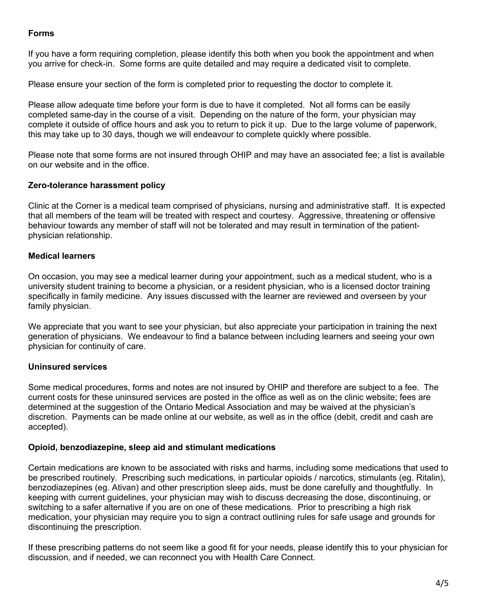# **Forms**

If you have a form requiring completion, please identify this both when you book the appointment and when you arrive for check-in. Some forms are quite detailed and may require a dedicated visit to complete.

Please ensure your section of the form is completed prior to requesting the doctor to complete it.

Please allow adequate time before your form is due to have it completed. Not all forms can be easily completed same-day in the course of a visit. Depending on the nature of the form, your physician may complete it outside of office hours and ask you to return to pick it up. Due to the large volume of paperwork, this may take up to 30 days, though we will endeavour to complete quickly where possible.

Please note that some forms are not insured through OHIP and may have an associated fee; a list is available on our website and in the office.

# **Zero-tolerance harassment policy**

Clinic at the Corner is a medical team comprised of physicians, nursing and administrative staff. It is expected that all members of the team will be treated with respect and courtesy. Aggressive, threatening or offensive behaviour towards any member of staff will not be tolerated and may result in termination of the patientphysician relationship.

# **Medical learners**

On occasion, you may see a medical learner during your appointment, such as a medical student, who is a university student training to become a physician, or a resident physician, who is a licensed doctor training specifically in family medicine. Any issues discussed with the learner are reviewed and overseen by your family physician.

We appreciate that you want to see your physician, but also appreciate your participation in training the next generation of physicians. We endeavour to find a balance between including learners and seeing your own physician for continuity of care.

# **Uninsured services**

Some medical procedures, forms and notes are not insured by OHIP and therefore are subject to a fee. The current costs for these uninsured services are posted in the office as well as on the clinic website; fees are determined at the suggestion of the Ontario Medical Association and may be waived at the physician's discretion. Payments can be made online at our website, as well as in the office (debit, credit and cash are accepted).

# **Opioid, benzodiazepine, sleep aid and stimulant medications**

Certain medications are known to be associated with risks and harms, including some medications that used to be prescribed routinely. Prescribing such medications, in particular opioids / narcotics, stimulants (eg. Ritalin), benzodiazepines (eg. Ativan) and other prescription sleep aids, must be done carefully and thoughtfully. In keeping with current guidelines, your physician may wish to discuss decreasing the dose, discontinuing, or switching to a safer alternative if you are on one of these medications. Prior to prescribing a high risk medication, your physician may require you to sign a contract outlining rules for safe usage and grounds for discontinuing the prescription.

If these prescribing patterns do not seem like a good fit for your needs, please identify this to your physician for discussion, and if needed, we can reconnect you with Health Care Connect.